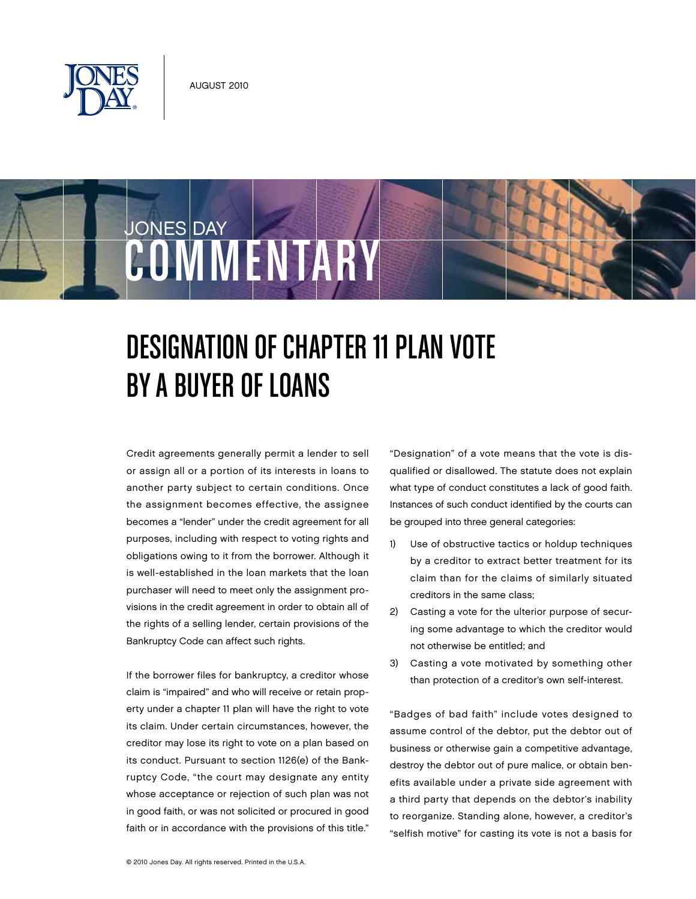



## DESIGNATION OF CHAPTER 11 PLAN VOTE BY A BUYER OF LOANS

Credit agreements generally permit a lender to sell or assign all or a portion of its interests in loans to another party subject to certain conditions. Once the assignment becomes effective, the assignee becomes a "lender" under the credit agreement for all purposes, including with respect to voting rights and obligations owing to it from the borrower. Although it is well-established in the loan markets that the loan purchaser will need to meet only the assignment provisions in the credit agreement in order to obtain all of the rights of a selling lender, certain provisions of the Bankruptcy Code can affect such rights.

If the borrower files for bankruptcy, a creditor whose claim is "impaired" and who will receive or retain property under a chapter 11 plan will have the right to vote its claim. Under certain circumstances, however, the creditor may lose its right to vote on a plan based on its conduct. Pursuant to section 1126(e) of the Bankruptcy Code, "the court may designate any entity whose acceptance or rejection of such plan was not in good faith, or was not solicited or procured in good faith or in accordance with the provisions of this title." "Designation" of a vote means that the vote is disqualified or disallowed. The statute does not explain what type of conduct constitutes a lack of good faith. Instances of such conduct identified by the courts can be grouped into three general categories:

- 1) Use of obstructive tactics or holdup techniques by a creditor to extract better treatment for its claim than for the claims of similarly situated creditors in the same class;
- 2) Casting a vote for the ulterior purpose of securing some advantage to which the creditor would not otherwise be entitled; and
- 3) Casting a vote motivated by something other than protection of a creditor's own self-interest.

"Badges of bad faith" include votes designed to assume control of the debtor, put the debtor out of business or otherwise gain a competitive advantage, destroy the debtor out of pure malice, or obtain benefits available under a private side agreement with a third party that depends on the debtor's inability to reorganize. Standing alone, however, a creditor's "selfish motive" for casting its vote is not a basis for